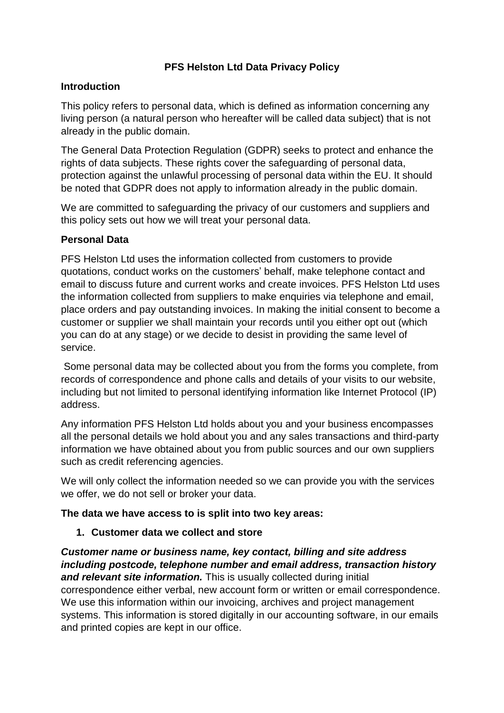## **PFS Helston Ltd Data Privacy Policy**

#### **Introduction**

This policy refers to personal data, which is defined as information concerning any living person (a natural person who hereafter will be called data subject) that is not already in the public domain.

The General Data Protection Regulation (GDPR) seeks to protect and enhance the rights of data subjects. These rights cover the safeguarding of personal data, protection against the unlawful processing of personal data within the EU. It should be noted that GDPR does not apply to information already in the public domain.

We are committed to safeguarding the privacy of our customers and suppliers and this policy sets out how we will treat your personal data.

#### **Personal Data**

PFS Helston Ltd uses the information collected from customers to provide quotations, conduct works on the customers' behalf, make telephone contact and email to discuss future and current works and create invoices. PFS Helston Ltd uses the information collected from suppliers to make enquiries via telephone and email, place orders and pay outstanding invoices. In making the initial consent to become a customer or supplier we shall maintain your records until you either opt out (which you can do at any stage) or we decide to desist in providing the same level of service.

Some personal data may be collected about you from the forms you complete, from records of correspondence and phone calls and details of your visits to our website, including but not limited to personal identifying information like Internet Protocol (IP) address.

Any information PFS Helston Ltd holds about you and your business encompasses all the personal details we hold about you and any sales transactions and third-party information we have obtained about you from public sources and our own suppliers such as credit referencing agencies.

We will only collect the information needed so we can provide you with the services we offer, we do not sell or broker your data.

## **The data we have access to is split into two key areas:**

## **1. Customer data we collect and store**

# *Customer name or business name, key contact, billing and site address including postcode, telephone number and email address, transaction history*

*and relevant site information.* This is usually collected during initial correspondence either verbal, new account form or written or email correspondence. We use this information within our invoicing, archives and project management systems. This information is stored digitally in our accounting software, in our emails and printed copies are kept in our office.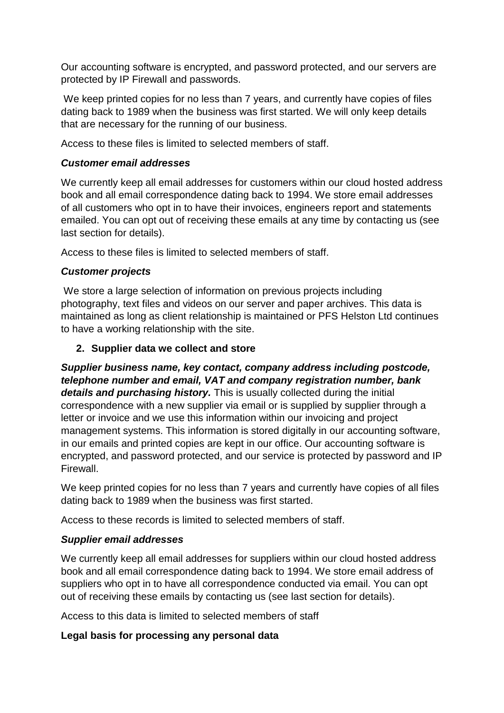Our accounting software is encrypted, and password protected, and our servers are protected by IP Firewall and passwords.

We keep printed copies for no less than 7 years, and currently have copies of files dating back to 1989 when the business was first started. We will only keep details that are necessary for the running of our business.

Access to these files is limited to selected members of staff.

#### *Customer email addresses*

We currently keep all email addresses for customers within our cloud hosted address book and all email correspondence dating back to 1994. We store email addresses of all customers who opt in to have their invoices, engineers report and statements emailed. You can opt out of receiving these emails at any time by contacting us (see last section for details).

Access to these files is limited to selected members of staff.

## *Customer projects*

We store a large selection of information on previous projects including photography, text files and videos on our server and paper archives. This data is maintained as long as client relationship is maintained or PFS Helston Ltd continues to have a working relationship with the site.

## **2. Supplier data we collect and store**

*Supplier business name, key contact, company address including postcode, telephone number and email, VAT and company registration number, bank details and purchasing history.* This is usually collected during the initial correspondence with a new supplier via email or is supplied by supplier through a letter or invoice and we use this information within our invoicing and project management systems. This information is stored digitally in our accounting software, in our emails and printed copies are kept in our office. Our accounting software is encrypted, and password protected, and our service is protected by password and IP Firewall.

We keep printed copies for no less than 7 years and currently have copies of all files dating back to 1989 when the business was first started.

Access to these records is limited to selected members of staff.

## *Supplier email addresses*

We currently keep all email addresses for suppliers within our cloud hosted address book and all email correspondence dating back to 1994. We store email address of suppliers who opt in to have all correspondence conducted via email. You can opt out of receiving these emails by contacting us (see last section for details).

Access to this data is limited to selected members of staff

## **Legal basis for processing any personal data**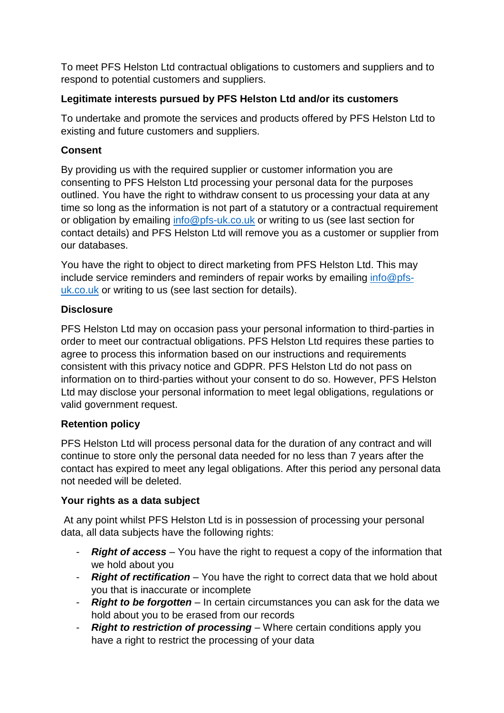To meet PFS Helston Ltd contractual obligations to customers and suppliers and to respond to potential customers and suppliers.

# **Legitimate interests pursued by PFS Helston Ltd and/or its customers**

To undertake and promote the services and products offered by PFS Helston Ltd to existing and future customers and suppliers.

## **Consent**

By providing us with the required supplier or customer information you are consenting to PFS Helston Ltd processing your personal data for the purposes outlined. You have the right to withdraw consent to us processing your data at any time so long as the information is not part of a statutory or a contractual requirement or obligation by emailing [info@pfs-uk.co.uk](mailto:info@pfs-uk.co.uk) or writing to us (see last section for contact details) and PFS Helston Ltd will remove you as a customer or supplier from our databases.

You have the right to object to direct marketing from PFS Helston Ltd. This may include service reminders and reminders of repair works by emailing [info@pfs](mailto:info@pfs-uk.co.uk)[uk.co.uk](mailto:info@pfs-uk.co.uk) or writing to us (see last section for details).

## **Disclosure**

PFS Helston Ltd may on occasion pass your personal information to third-parties in order to meet our contractual obligations. PFS Helston Ltd requires these parties to agree to process this information based on our instructions and requirements consistent with this privacy notice and GDPR. PFS Helston Ltd do not pass on information on to third-parties without your consent to do so. However, PFS Helston Ltd may disclose your personal information to meet legal obligations, regulations or valid government request.

# **Retention policy**

PFS Helston Ltd will process personal data for the duration of any contract and will continue to store only the personal data needed for no less than 7 years after the contact has expired to meet any legal obligations. After this period any personal data not needed will be deleted.

## **Your rights as a data subject**

At any point whilst PFS Helston Ltd is in possession of processing your personal data, all data subjects have the following rights:

- *Right of access* You have the right to request a copy of the information that we hold about you
- *Right of rectification*  You have the right to correct data that we hold about you that is inaccurate or incomplete
- *Right to be forgotten*  In certain circumstances you can ask for the data we hold about you to be erased from our records
- *Right to restriction of processing*  Where certain conditions apply you have a right to restrict the processing of your data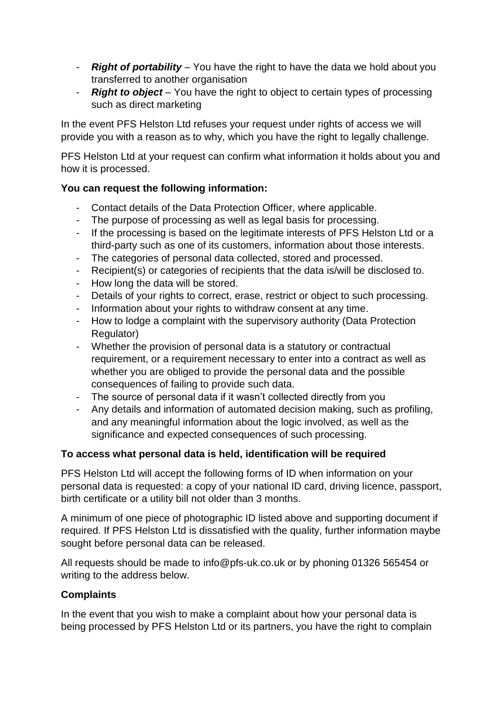- *Right of portability*  You have the right to have the data we hold about you transferred to another organisation
- *Right to object*  You have the right to object to certain types of processing such as direct marketing

In the event PFS Helston Ltd refuses your request under rights of access we will provide you with a reason as to why, which you have the right to legally challenge.

PFS Helston Ltd at your request can confirm what information it holds about you and how it is processed.

## **You can request the following information:**

- Contact details of the Data Protection Officer, where applicable.
- The purpose of processing as well as legal basis for processing.
- If the processing is based on the legitimate interests of PFS Helston Ltd or a third-party such as one of its customers, information about those interests.
- The categories of personal data collected, stored and processed.
- Recipient(s) or categories of recipients that the data is/will be disclosed to.
- How long the data will be stored.
- Details of your rights to correct, erase, restrict or object to such processing.
- Information about your rights to withdraw consent at any time.
- How to lodge a complaint with the supervisory authority (Data Protection Regulator)
- Whether the provision of personal data is a statutory or contractual requirement, or a requirement necessary to enter into a contract as well as whether you are obliged to provide the personal data and the possible consequences of failing to provide such data.
- The source of personal data if it wasn't collected directly from you
- Any details and information of automated decision making, such as profiling, and any meaningful information about the logic involved, as well as the significance and expected consequences of such processing.

## **To access what personal data is held, identification will be required**

PFS Helston Ltd will accept the following forms of ID when information on your personal data is requested: a copy of your national ID card, driving licence, passport, birth certificate or a utility bill not older than 3 months.

A minimum of one piece of photographic ID listed above and supporting document if required. If PFS Helston Ltd is dissatisfied with the quality, further information maybe sought before personal data can be released.

All requests should be made to info@pfs-uk.co.uk or by phoning 01326 565454 or writing to the address below.

## **Complaints**

In the event that you wish to make a complaint about how your personal data is being processed by PFS Helston Ltd or its partners, you have the right to complain